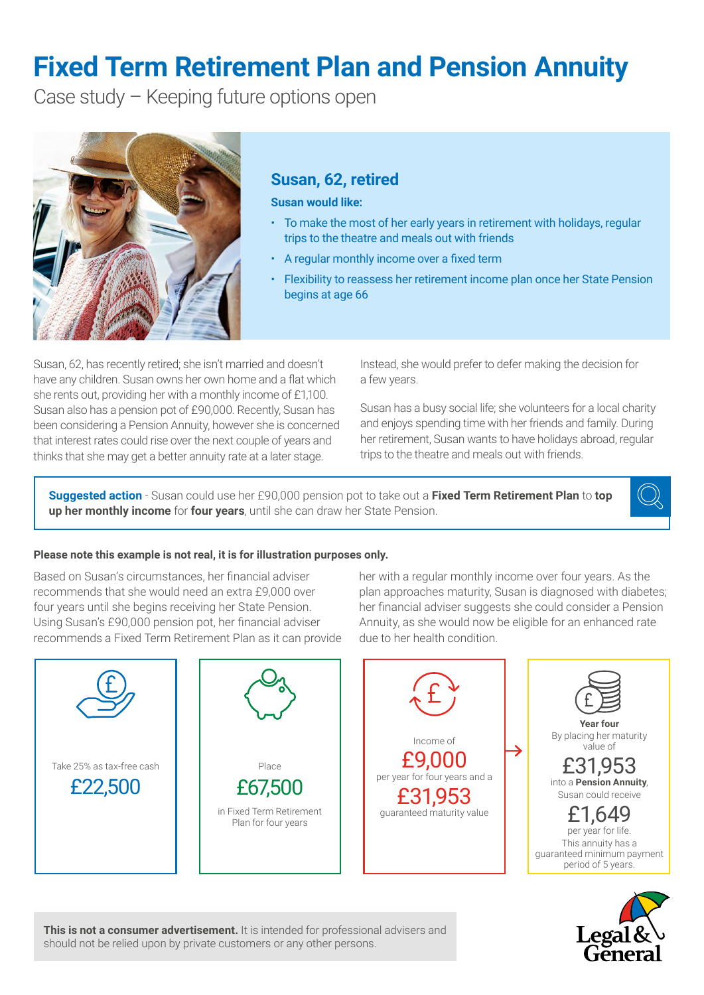# **Fixed Term Retirement Plan and Pension Annuity**

Case study – Keeping future options open



# **Susan, 62, retired**

#### **Susan would like:**

- To make the most of her early years in retirement with holidays, regular trips to the theatre and meals out with friends
- A regular monthly income over a fixed term
- Flexibility to reassess her retirement income plan once her State Pension begins at age 66

Susan, 62, has recently retired; she isn't married and doesn't have any children. Susan owns her own home and a flat which she rents out, providing her with a monthly income of £1,100. Susan also has a pension pot of £90,000. Recently, Susan has been considering a Pension Annuity, however she is concerned that interest rates could rise over the next couple of years and thinks that she may get a better annuity rate at a later stage.

Instead, she would prefer to defer making the decision for a few years.

Susan has a busy social life; she volunteers for a local charity and enjoys spending time with her friends and family. During her retirement, Susan wants to have holidays abroad, regular trips to the theatre and meals out with friends.

**Suggested action** - Susan could use her £90,000 pension pot to take out a **Fixed Term Retirement Plan** to **top up her monthly income** for **four years**, until she can draw her State Pension.



## **Please note this example is not real, it is for illustration purposes only.**

Based on Susan's circumstances, her financial adviser recommends that she would need an extra £9,000 over four years until she begins receiving her State Pension. Using Susan's £90,000 pension pot, her financial adviser recommends a Fixed Term Retirement Plan as it can provide her with a regular monthly income over four years. As the plan approaches maturity, Susan is diagnosed with diabetes; her financial adviser suggests she could consider a Pension Annuity, as she would now be eligible for an enhanced rate due to her health condition.





**This is not a consumer advertisement.** It is intended for professional advisers and should not be relied upon by private customers or any other persons.